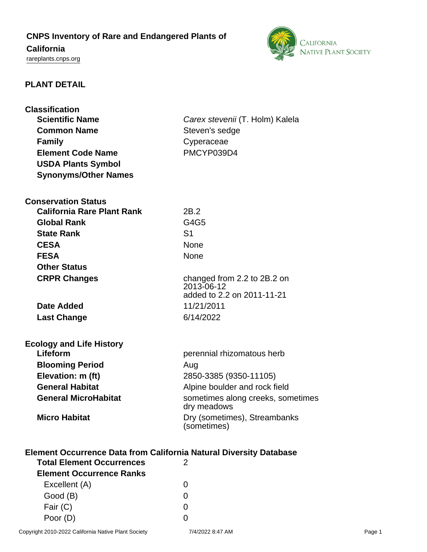# **CNPS Inventory of Rare and Endangered Plants of**

# **California**

<rareplants.cnps.org>



### **PLANT DETAIL**

| <b>Classification</b>                                                     |                                                  |
|---------------------------------------------------------------------------|--------------------------------------------------|
| <b>Scientific Name</b>                                                    | Carex stevenii (T. Holm) Kalela                  |
| <b>Common Name</b>                                                        | Steven's sedge                                   |
| <b>Family</b>                                                             | Cyperaceae                                       |
| <b>Element Code Name</b>                                                  | PMCYP039D4                                       |
| <b>USDA Plants Symbol</b>                                                 |                                                  |
| <b>Synonyms/Other Names</b>                                               |                                                  |
| <b>Conservation Status</b>                                                |                                                  |
| <b>California Rare Plant Rank</b>                                         | 2B.2                                             |
| <b>Global Rank</b>                                                        | G4G5                                             |
| <b>State Rank</b>                                                         | S <sub>1</sub>                                   |
| <b>CESA</b>                                                               | <b>None</b>                                      |
| <b>FESA</b>                                                               | <b>None</b>                                      |
| <b>Other Status</b>                                                       |                                                  |
| <b>CRPR Changes</b>                                                       | changed from 2.2 to 2B.2 on<br>2013-06-12        |
|                                                                           | added to 2.2 on 2011-11-21                       |
| Date Added                                                                | 11/21/2011                                       |
| <b>Last Change</b>                                                        | 6/14/2022                                        |
| <b>Ecology and Life History</b>                                           |                                                  |
| Lifeform                                                                  | perennial rhizomatous herb                       |
| <b>Blooming Period</b>                                                    | Aug                                              |
| Elevation: m (ft)                                                         | 2850-3385 (9350-11105)                           |
| <b>General Habitat</b>                                                    | Alpine boulder and rock field                    |
| <b>General MicroHabitat</b>                                               | sometimes along creeks, sometimes<br>dry meadows |
| <b>Micro Habitat</b>                                                      | Dry (sometimes), Streambanks<br>(sometimes)      |
| <b>Element Occurrence Data from California Natural Diversity Database</b> |                                                  |
| <b>Total Element Occurrences</b>                                          | 2                                                |
| <b>Element Occurrence Ranks</b>                                           |                                                  |
| Excellent (A)                                                             | 0                                                |

Good (B) and the control of the control of the control of the control of the control of the control of the control of the control of the control of the control of the control of the control of the control of the control of Fair (C) 0 Poor (D) 0